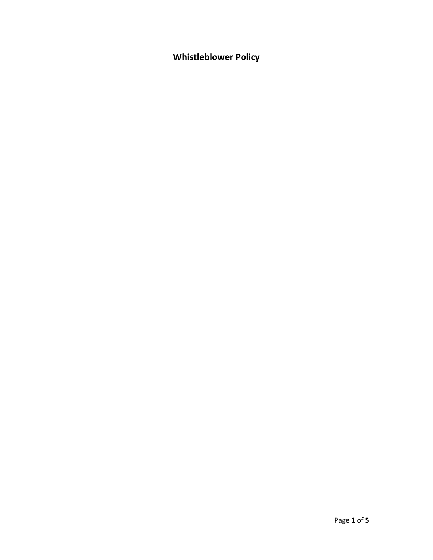**Whistleblower Policy**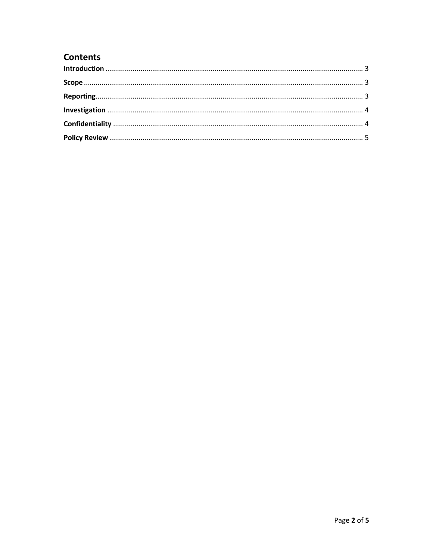# **Contents**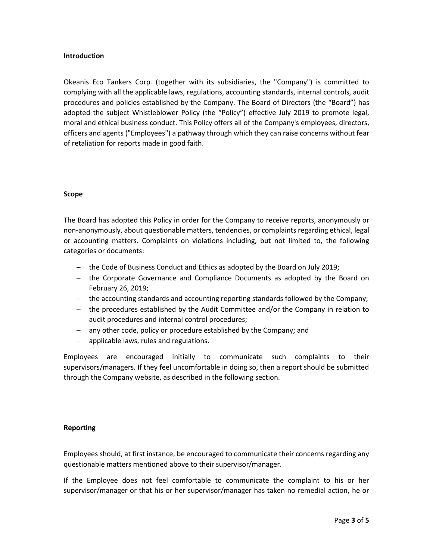## <span id="page-2-0"></span>**Introduction**

Okeanis Eco Tankers Corp. (together with its subsidiaries, the "Company") is committed to complying with all the applicable laws, regulations, accounting standards, internal controls, audit procedures and policies established by the Company. The Board of Directors (the "Board") has adopted the subject Whistleblower Policy (the "Policy") effective July 2019 to promote legal, moral and ethical business conduct. This Policy offers all of the Company's employees, directors, officers and agents ("Employees") a pathway through which they can raise concerns without fear of retaliation for reports made in good faith.

# <span id="page-2-1"></span>**Scope**

The Board has adopted this Policy in order for the Company to receive reports, anonymously or non-anonymously, about questionable matters, tendencies, or complaints regarding ethical, legal or accounting matters. Complaints on violations including, but not limited to, the following categories or documents:

- the Code of Business Conduct and Ethics as adopted by the Board on July 2019;
- the Corporate Governance and Compliance Documents as adopted by the Board on February 26, 2019;
- the accounting standards and accounting reporting standards followed by the Company;
- the procedures established by the Audit Committee and/or the Company in relation to audit procedures and internal control procedures;
- any other code, policy or procedure established by the Company; and
- $-$  applicable laws, rules and regulations.

Employees are encouraged initially to communicate such complaints to their supervisors/managers. If they feel uncomfortable in doing so, then a report should be submitted through the Company website, as described in the following section.

# <span id="page-2-2"></span>**Reporting**

Employees should, at first instance, be encouraged to communicate their concerns regarding any questionable matters mentioned above to their supervisor/manager.

If the Employee does not feel comfortable to communicate the complaint to his or her supervisor/manager or that his or her supervisor/manager has taken no remedial action, he or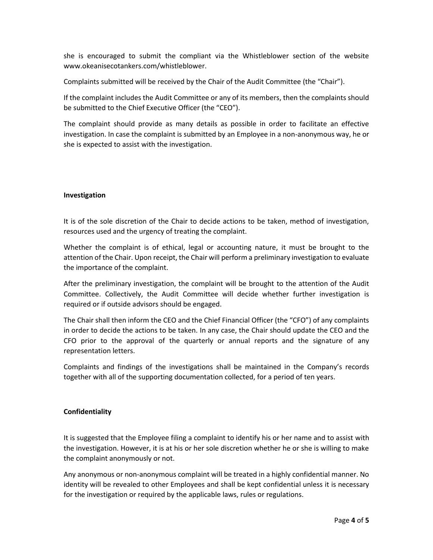she is encouraged to submit the compliant via the Whistleblower section of the website [www.okeanisecotankers.com/](http://www.okeanisecotankers.com/)whistleblower.

Complaints submitted will be received by the Chair of the Audit Committee (the "Chair").

If the complaint includes the Audit Committee or any of its members, then the complaints should be submitted to the Chief Executive Officer (the "CEO").

The complaint should provide as many details as possible in order to facilitate an effective investigation. In case the complaint is submitted by an Employee in a non-anonymous way, he or she is expected to assist with the investigation.

### <span id="page-3-0"></span>**Investigation**

It is of the sole discretion of the Chair to decide actions to be taken, method of investigation, resources used and the urgency of treating the complaint.

Whether the complaint is of ethical, legal or accounting nature, it must be brought to the attention of the Chair. Upon receipt, the Chair will perform a preliminary investigation to evaluate the importance of the complaint.

After the preliminary investigation, the complaint will be brought to the attention of the Audit Committee. Collectively, the Audit Committee will decide whether further investigation is required or if outside advisors should be engaged.

The Chair shall then inform the CEO and the Chief Financial Officer (the "CFO") of any complaints in order to decide the actions to be taken. In any case, the Chair should update the CEO and the CFO prior to the approval of the quarterly or annual reports and the signature of any representation letters.

Complaints and findings of the investigations shall be maintained in the Company's records together with all of the supporting documentation collected, for a period of ten years.

### <span id="page-3-1"></span>**Confidentiality**

It is suggested that the Employee filing a complaint to identify his or her name and to assist with the investigation. However, it is at his or her sole discretion whether he or she is willing to make the complaint anonymously or not.

Any anonymous or non-anonymous complaint will be treated in a highly confidential manner. No identity will be revealed to other Employees and shall be kept confidential unless it is necessary for the investigation or required by the applicable laws, rules or regulations.